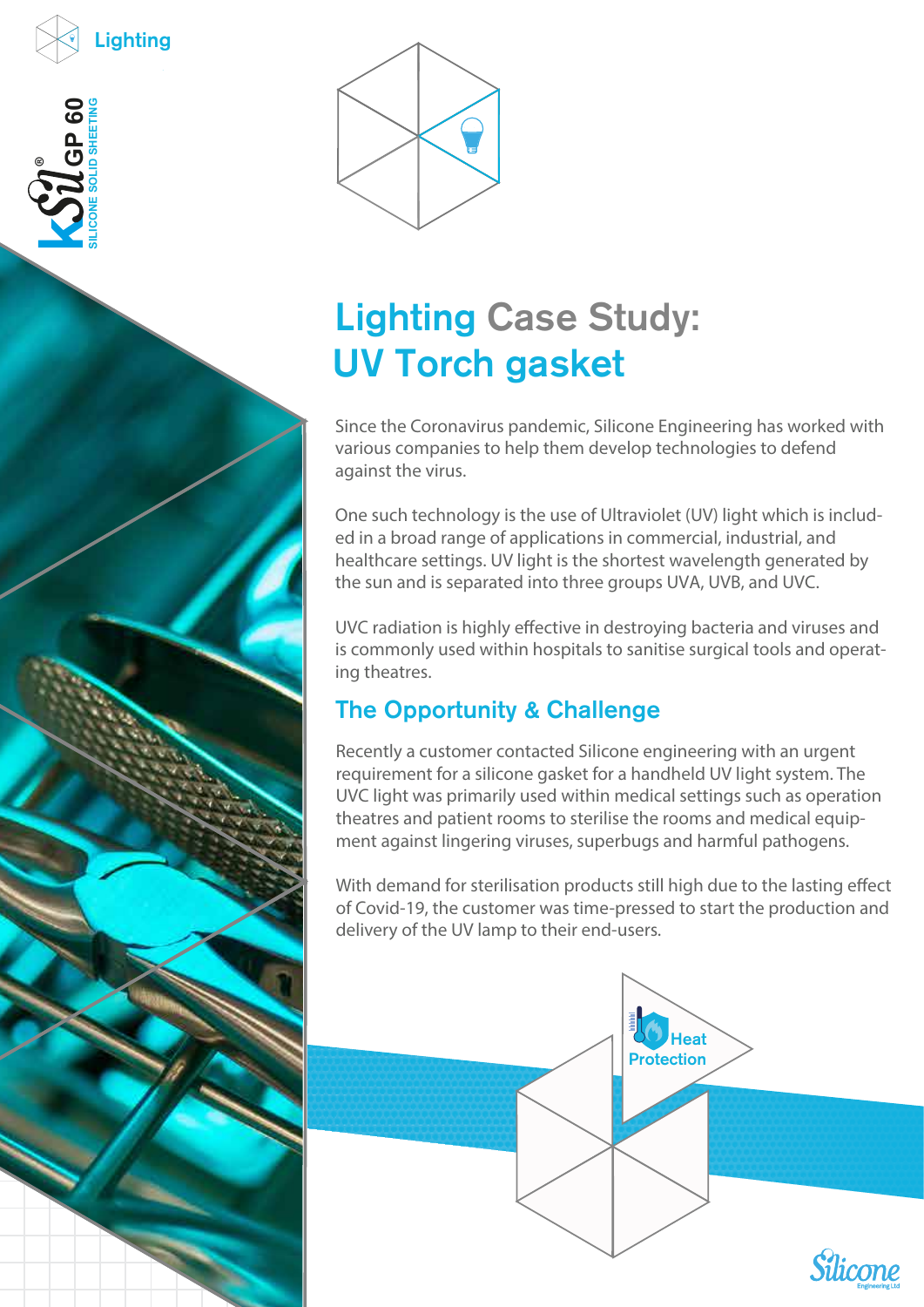



## Lighting Case Study: UV Torch gasket

Since the Coronavirus pandemic, Silicone Engineering has worked with various companies to help them develop technologies to defend against the virus.

One such technology is the use of Ultraviolet (UV) light which is included in a broad range of applications in commercial, industrial, and healthcare settings. UV light is the shortest wavelength generated by the sun and is separated into three groups UVA, UVB, and UVC.

UVC radiation is highly effective in destroying bacteria and viruses and is commonly used within hospitals to sanitise surgical tools and operating theatres.

## The Opportunity & Challenge

Recently a customer contacted Silicone engineering with an urgent requirement for a silicone gasket for a handheld UV light system. The UVC light was primarily used within medical settings such as operation theatres and patient rooms to sterilise the rooms and medical equipment against lingering viruses, superbugs and harmful pathogens.

With demand for sterilisation products still high due to the lasting effect of Covid-19, the customer was time-pressed to start the production and delivery of the UV lamp to their end-users.